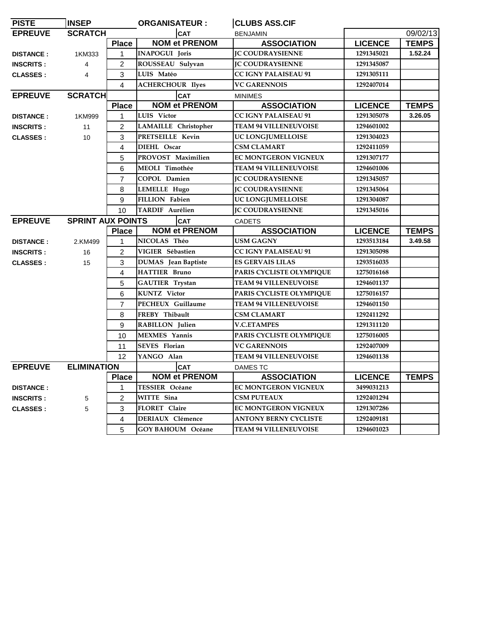| <b>PISTE</b>     | <b>INSEP</b>             |                | <b>ORGANISATEUR:</b>       | <b>CLUBS ASS.CIF</b>         |                |              |
|------------------|--------------------------|----------------|----------------------------|------------------------------|----------------|--------------|
| <b>EPREUVE</b>   | <b>SCRATCH</b>           |                | <b>CAT</b>                 | <b>BENJAMIN</b>              |                | 09/02/13     |
|                  |                          | <b>Place</b>   | <b>NOM et PRENOM</b>       | <b>ASSOCIATION</b>           | <b>LICENCE</b> | <b>TEMPS</b> |
| <b>DISTANCE:</b> | 1KM333                   | $\mathbf{1}$   | <b>INAPOGUI Joris</b>      | <b>JC COUDRAYSIENNE</b>      | 1291345021     | 1.52.24      |
| <b>INSCRITS:</b> | 4                        | $\overline{2}$ | ROUSSEAU Sulyvan           | <b>IC COUDRAYSIENNE</b>      | 1291345087     |              |
| <b>CLASSES:</b>  | $\overline{4}$           | 3              | LUIS Matéo                 | <b>CC IGNY PALAISEAU 91</b>  | 1291305111     |              |
|                  |                          | $\overline{4}$ | <b>ACHERCHOUR Ilyes</b>    | <b>VC GARENNOIS</b>          | 1292407014     |              |
| <b>EPREUVE</b>   | <b>SCRATCH</b>           |                | <b>CAT</b>                 | <b>MINIMES</b>               |                |              |
|                  |                          | <b>Place</b>   | <b>NOM et PRENOM</b>       | <b>ASSOCIATION</b>           | <b>LICENCE</b> | <b>TEMPS</b> |
| <b>DISTANCE:</b> | 1KM999                   | $\mathbf{1}$   | LUIS Victor                | <b>CC IGNY PALAISEAU 91</b>  | 1291305078     | 3.26.05      |
| <b>INSCRITS:</b> | 11                       | $\overline{c}$ | LAMAILLE Christopher       | <b>TEAM 94 VILLENEUVOISE</b> | 1294601002     |              |
| <b>CLASSES:</b>  | 10                       | 3              | PRETSEILLE Kevin           | UC LONGJUMELLOISE            | 1291304023     |              |
|                  |                          | $\overline{4}$ | DIEHL Oscar                | <b>CSM CLAMART</b>           | 1292411059     |              |
|                  |                          | 5              | PROVOST Maximilien         | <b>EC MONTGERON VIGNEUX</b>  | 1291307177     |              |
|                  |                          | 6              | <b>MEOLI Timothée</b>      | <b>TEAM 94 VILLENEUVOISE</b> | 1294601006     |              |
|                  |                          | $\overline{7}$ | COPOL Damien               | <b>IC COUDRAYSIENNE</b>      | 1291345057     |              |
|                  |                          | 8              | LEMELLE Hugo               | <b>IC COUDRAYSIENNE</b>      | 1291345064     |              |
|                  |                          | 9              | <b>FILLION Fabien</b>      | <b>UC LONGJUMELLOISE</b>     | 1291304087     |              |
|                  |                          | 10             | <b>TARDIF Aurélien</b>     | <b>JC COUDRAYSIENNE</b>      | 1291345016     |              |
| <b>EPREUVE</b>   | <b>SPRINT AUX POINTS</b> |                | <b>CAT</b>                 | <b>CADETS</b>                |                |              |
|                  |                          | <b>Place</b>   | <b>NOM et PRENOM</b>       | <b>ASSOCIATION</b>           | <b>LICENCE</b> | <b>TEMPS</b> |
| <b>DISTANCE:</b> | 2.KM499                  | $\mathbf{1}$   | NICOLAS Théo               | <b>USM GAGNY</b>             | 1293513184     | 3.49.58      |
| <b>INSCRITS:</b> | 16                       | $\mathfrak{p}$ | VIGIER Sébastien           | <b>CC IGNY PALAISEAU 91</b>  | 1291305098     |              |
| <b>CLASSES:</b>  | 15                       | 3              | <b>DUMAS</b> Jean Baptiste | <b>ES GERVAIS LILAS</b>      | 1293516035     |              |
|                  |                          | $\overline{4}$ | <b>HATTIER Bruno</b>       | PARIS CYCLISTE OLYMPIQUE     | 1275016168     |              |
|                  |                          | 5              | <b>GAUTIER Trystan</b>     | <b>TEAM 94 VILLENEUVOISE</b> | 1294601137     |              |
|                  |                          | 6              | <b>KUNTZ</b> Victor        | PARIS CYCLISTE OLYMPIQUE     | 1275016157     |              |
|                  |                          | $\overline{7}$ | PECHEUX Guillaume          | <b>TEAM 94 VILLENEUVOISE</b> | 1294601150     |              |
|                  |                          | 8              | FREBY Thibault             | <b>CSM CLAMART</b>           | 1292411292     |              |
|                  |                          | 9              | RABILLON Julien            | <b>V.C.ETAMPES</b>           | 1291311120     |              |
|                  |                          | 10             | <b>MEXMES</b> Yannis       | PARIS CYCLISTE OLYMPIQUE     | 1275016005     |              |
|                  |                          | 11             | <b>SEVES</b> Florian       | <b>VC GARENNOIS</b>          | 1292407009     |              |
|                  |                          | 12             | YANGO Alan                 | <b>TEAM 94 VILLENEUVOISE</b> | 1294601138     |              |
| <b>EPREUVE</b>   | <b>ELIMINATION</b>       |                | <b>CAT</b>                 | <b>DAMES TC</b>              |                |              |
|                  |                          | <b>Place</b>   | <b>NOM et PRENOM</b>       | <b>ASSOCIATION</b>           | <b>LICENCE</b> | <b>TEMPS</b> |
| <b>DISTANCE:</b> |                          | $\mathbf{1}$   | <b>TESSIER Océane</b>      | EC MONTGERON VIGNEUX         | 3499031213     |              |
| <b>INSCRITS:</b> | 5                        | 2              | WITTE Sina                 | <b>CSM PUTEAUX</b>           | 1292401294     |              |
| <b>CLASSES:</b>  | 5                        | 3              | FLORET Claire              | EC MONTGERON VIGNEUX         | 1291307286     |              |
|                  |                          | $\overline{4}$ | <b>DERIAUX Clémence</b>    | <b>ANTONY BERNY CYCLISTE</b> | 1292409181     |              |
|                  |                          | 5              | <b>GOY BAHOUM Océane</b>   | <b>TEAM 94 VILLENEUVOISE</b> | 1294601023     |              |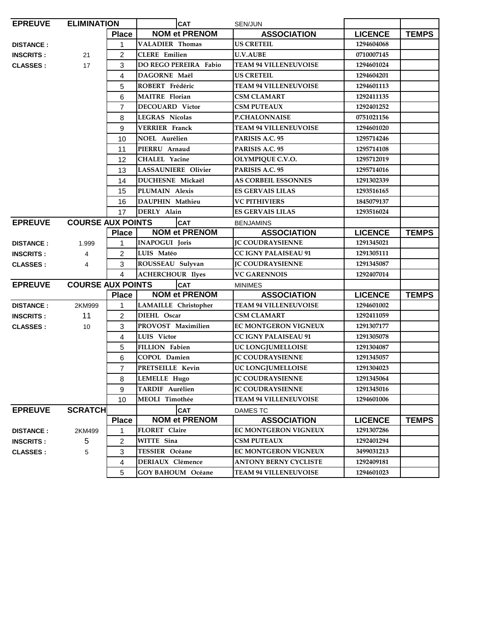| <b>EPREUVE</b>                      | <b>ELIMINATION</b>       |                | <b>CAT</b>                   | SEN/JUN                      |                |              |
|-------------------------------------|--------------------------|----------------|------------------------------|------------------------------|----------------|--------------|
|                                     |                          | <b>Place</b>   | <b>NOM et PRENOM</b>         | <b>ASSOCIATION</b>           | <b>LICENCE</b> | <b>TEMPS</b> |
| <b>DISTANCE:</b>                    |                          | 1              | <b>VALADIER Thomas</b>       | <b>US CRETEIL</b>            | 1294604068     |              |
| <b>INSCRITS:</b>                    | 21                       | $\overline{2}$ | <b>CLERE</b> Emilien         | <b>U.V.AUBE</b>              | 0710007145     |              |
| <b>CLASSES:</b>                     | 17                       | 3              | <b>DO REGO PEREIRA Fabio</b> | <b>TEAM 94 VILLENEUVOISE</b> | 1294601024     |              |
|                                     |                          | 4              | DAGORNE Maël                 | <b>US CRETEIL</b>            | 1294604201     |              |
|                                     |                          | 5              | ROBERT Frédéric              | <b>TEAM 94 VILLENEUVOISE</b> | 1294601113     |              |
|                                     |                          | 6              | <b>MAITRE</b> Florian        | <b>CSM CLAMART</b>           | 1292411135     |              |
|                                     |                          | $\overline{7}$ | <b>DECOUARD</b> Victor       | <b>CSM PUTEAUX</b>           | 1292401252     |              |
|                                     |                          | 8              | <b>LEGRAS Nicolas</b>        | <b>P.CHALONNAISE</b>         | 0751021156     |              |
|                                     |                          | 9              | <b>VERRIER Franck</b>        | <b>TEAM 94 VILLENEUVOISE</b> | 1294601020     |              |
|                                     |                          | 10             | <b>NOEL Aurélien</b>         | PARISIS A.C. 95              | 1295714246     |              |
|                                     |                          | 11             | PIERRU Arnaud                | PARISIS A.C. 95              | 1295714108     |              |
|                                     |                          | 12             | <b>CHALEL Yacine</b>         | OLYMPIQUE C.V.O.             | 1295712019     |              |
|                                     |                          | 13             | <b>LASSAUNIERE Olivier</b>   | PARISIS A.C. 95              | 1295714016     |              |
|                                     |                          | 14             | DUCHESNE Mickaël             | <b>AS CORBEIL ESSONNES</b>   | 1291302339     |              |
|                                     |                          | 15             | PLUMAIN Alexis               | <b>ES GERVAIS LILAS</b>      | 1293516165     |              |
|                                     |                          | 16             | DAUPHIN Mathieu              | <b>VC PITHIVIERS</b>         | 1845079137     |              |
|                                     |                          | 17             | DERLY Alain                  | <b>ES GERVAIS LILAS</b>      | 1293516024     |              |
| <b>EPREUVE</b>                      | <b>COURSE AUX POINTS</b> |                | <b>CAT</b>                   | <b>BENJAMINS</b>             |                |              |
|                                     |                          | <b>Place</b>   | <b>NOM et PRENOM</b>         | <b>ASSOCIATION</b>           | <b>LICENCE</b> | <b>TEMPS</b> |
| <b>DISTANCE:</b>                    | 1.999                    | $\mathbf{1}$   | <b>INAPOGUI</b> Joris        | <b>IC COUDRAYSIENNE</b>      | 1291345021     |              |
| <b>INSCRITS:</b>                    | $\overline{4}$           | $\overline{2}$ | LUIS Matéo                   | <b>CC IGNY PALAISEAU 91</b>  | 1291305111     |              |
| <b>CLASSES:</b>                     | 4                        | 3              | ROUSSEAU Sulyvan             | <b>IC COUDRAYSIENNE</b>      | 1291345087     |              |
|                                     |                          | 4              | <b>ACHERCHOUR Ilyes</b>      | <b>VC GARENNOIS</b>          | 1292407014     |              |
| <b>EPREUVE</b>                      | <b>COURSE AUX POINTS</b> |                | <b>CAT</b>                   | <b>MINIMES</b>               |                |              |
|                                     |                          | <b>Place</b>   | <b>NOM et PRENOM</b>         | <b>ASSOCIATION</b>           | <b>LICENCE</b> | <b>TEMPS</b> |
| <b>DISTANCE:</b>                    | 2KM999                   | 1              | LAMAILLE Christopher         | <b>TEAM 94 VILLENEUVOISE</b> | 1294601002     |              |
| <b>INSCRITS:</b>                    | 11                       | $\overline{2}$ | DIEHL Oscar                  | <b>CSM CLAMART</b>           | 1292411059     |              |
| <b>CLASSES:</b>                     | 10                       | 3              | PROVOST Maximilien           | <b>EC MONTGERON VIGNEUX</b>  | 1291307177     |              |
|                                     |                          | 4              | LUIS Victor                  | <b>CC IGNY PALAISEAU 91</b>  | 1291305078     |              |
|                                     |                          | 5              | <b>FILLION Fabien</b>        | UC LONGJUMELLOISE            | 1291304087     |              |
|                                     |                          | 6              | COPOL Damien                 | <b>JC COUDRAYSIENNE</b>      | 1291345057     |              |
|                                     |                          |                | <b>PRETSEILLE Kevin</b>      | UC LONGJUMELLOISE            | 1291304023     |              |
|                                     |                          | $\overline{7}$ |                              |                              |                |              |
|                                     |                          | 8              | LEMELLE Hugo                 | <b>JC COUDRAYSIENNE</b>      | 1291345064     |              |
|                                     |                          | 9              | <b>TARDIF Aurélien</b>       | <b>JC COUDRAYSIENNE</b>      | 1291345016     |              |
|                                     |                          | 10             | MEOLI Timothée               | <b>TEAM 94 VILLENEUVOISE</b> | 1294601006     |              |
|                                     | <b>SCRATCH</b>           |                | <b>CAT</b>                   | <b>DAMES TC</b>              |                |              |
|                                     |                          | <b>Place</b>   | <b>NOM et PRENOM</b>         | <b>ASSOCIATION</b>           | <b>LICENCE</b> | <b>TEMPS</b> |
| <b>EPREUVE</b><br><b>DISTANCE:</b>  | 2KM499                   | 1              | FLORET Claire                | <b>EC MONTGERON VIGNEUX</b>  | 1291307286     |              |
|                                     | 5                        | 2              | WITTE Sina                   | <b>CSM PUTEAUX</b>           | 1292401294     |              |
| <b>INSCRITS:</b><br><b>CLASSES:</b> | 5                        | 3              | TESSIER Océane               | <b>EC MONTGERON VIGNEUX</b>  | 3499031213     |              |
|                                     |                          | 4              | DERIAUX Clémence             | <b>ANTONY BERNY CYCLISTE</b> | 1292409181     |              |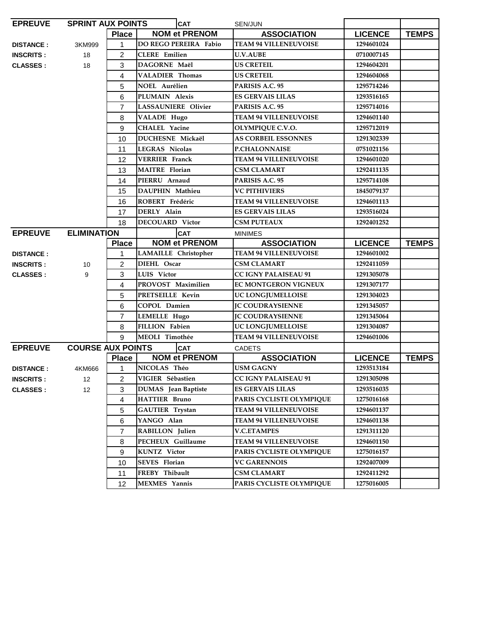| <b>EPREUVE</b>    | <b>SPRINT AUX POINTS</b> |                | <b>CAT</b>                   | SEN/JUN                      |                |              |
|-------------------|--------------------------|----------------|------------------------------|------------------------------|----------------|--------------|
|                   |                          | <b>Place</b>   | <b>NOM et PRENOM</b>         | <b>ASSOCIATION</b>           | <b>LICENCE</b> | <b>TEMPS</b> |
| <b>DISTANCE:</b>  | 3KM999                   | $\mathbf{1}$   | <b>DO REGO PEREIRA Fabio</b> | <b>TEAM 94 VILLENEUVOISE</b> | 1294601024     |              |
| <b>INSCRITS :</b> | 18                       | 2              | <b>CLERE</b> Emilien         | <b>U.V.AUBE</b>              | 0710007145     |              |
| <b>CLASSES:</b>   | 18                       | 3              | DAGORNE Maël                 | <b>US CRETEIL</b>            | 1294604201     |              |
|                   |                          | 4              | <b>VALADIER Thomas</b>       | <b>US CRETEIL</b>            | 1294604068     |              |
|                   |                          | 5              | <b>NOEL Aurélien</b>         | PARISIS A.C. 95              | 1295714246     |              |
|                   |                          | 6              | PLUMAIN Alexis               | <b>ES GERVAIS LILAS</b>      | 1293516165     |              |
|                   |                          | $\overline{7}$ | <b>LASSAUNIERE Olivier</b>   | PARISIS A.C. 95              | 1295714016     |              |
|                   |                          | 8              | <b>VALADE Hugo</b>           | <b>TEAM 94 VILLENEUVOISE</b> | 1294601140     |              |
|                   |                          | 9              | <b>CHALEL Yacine</b>         | OLYMPIQUE C.V.O.             | 1295712019     |              |
|                   |                          | 10             | DUCHESNE Mickaël             | <b>AS CORBEIL ESSONNES</b>   | 1291302339     |              |
|                   |                          | 11             | <b>LEGRAS Nicolas</b>        | <b>P.CHALONNAISE</b>         | 0751021156     |              |
|                   |                          | 12             | <b>VERRIER</b> Franck        | <b>TEAM 94 VILLENEUVOISE</b> | 1294601020     |              |
|                   |                          | 13             | <b>MAITRE</b> Florian        | <b>CSM CLAMART</b>           | 1292411135     |              |
|                   |                          | 14             | PIERRU Arnaud                | PARISIS A.C. 95              | 1295714108     |              |
|                   |                          | 15             | DAUPHIN Mathieu              | <b>VC PITHIVIERS</b>         | 1845079137     |              |
|                   |                          | 16             | ROBERT Frédéric              | <b>TEAM 94 VILLENEUVOISE</b> | 1294601113     |              |
|                   |                          | 17             | DERLY Alain                  | <b>ES GERVAIS LILAS</b>      | 1293516024     |              |
|                   |                          | 18             | <b>DECOUARD Victor</b>       | <b>CSM PUTEAUX</b>           | 1292401252     |              |
| <b>EPREUVE</b>    | <b>ELIMINATION</b>       |                | <b>CAT</b>                   | <b>MINIMES</b>               |                |              |
|                   |                          | <b>Place</b>   | <b>NOM et PRENOM</b>         | <b>ASSOCIATION</b>           | <b>LICENCE</b> | <b>TEMPS</b> |
| <b>DISTANCE:</b>  |                          | 1              | <b>LAMAILLE</b> Christopher  | <b>TEAM 94 VILLENEUVOISE</b> | 1294601002     |              |
| <b>INSCRITS :</b> | 10                       | $\overline{c}$ | DIEHL Oscar                  | <b>CSM CLAMART</b>           | 1292411059     |              |
| <b>CLASSES:</b>   | 9                        | 3              | LUIS Victor                  | <b>CC IGNY PALAISEAU 91</b>  | 1291305078     |              |
|                   |                          | 4              | PROVOST Maximilien           | EC MONTGERON VIGNEUX         | 1291307177     |              |
|                   |                          | 5              | PRETSEILLE Kevin             | UC LONGJUMELLOISE            | 1291304023     |              |
|                   |                          | 6              | COPOL Damien                 | <b>IC COUDRAYSIENNE</b>      | 1291345057     |              |
|                   |                          | $\overline{7}$ | LEMELLE Hugo                 | <b>IC COUDRAYSIENNE</b>      | 1291345064     |              |
|                   |                          | 8              | <b>FILLION Fabien</b>        | UC LONGJUMELLOISE            | 1291304087     |              |
|                   |                          | 9              | <b>MEOLI</b> Timothée        | <b>TEAM 94 VILLENEUVOISE</b> | 1294601006     |              |
| <b>EPREUVE</b>    | <b>COURSE AUX POINTS</b> |                | <b>CAT</b>                   | CADETS                       |                |              |
|                   |                          | <b>Place</b>   | <b>NOM et PRENOM</b>         | <b>ASSOCIATION</b>           | <b>LICENCE</b> | <b>TEMPS</b> |
| <b>DISTANCE:</b>  | 4KM666                   | 1              | NICOLAS Théo                 | <b>USM GAGNY</b>             | 1293513184     |              |
| <b>INSCRITS :</b> | 12                       | $\overline{2}$ | VIGIER Sébastien             | <b>CC IGNY PALAISEAU 91</b>  | 1291305098     |              |
| <b>CLASSES :</b>  | 12                       | 3              | <b>DUMAS</b> Jean Baptiste   | <b>ES GERVAIS LILAS</b>      | 1293516035     |              |
|                   |                          | 4              | <b>HATTIER Bruno</b>         | PARIS CYCLISTE OLYMPIQUE     | 1275016168     |              |
|                   |                          | 5              | <b>GAUTIER Trystan</b>       | <b>TEAM 94 VILLENEUVOISE</b> | 1294601137     |              |
|                   |                          | 6              | YANGO Alan                   | <b>TEAM 94 VILLENEUVOISE</b> | 1294601138     |              |
|                   |                          | $\overline{7}$ | RABILLON Julien              | <b>V.C.ETAMPES</b>           | 1291311120     |              |
|                   |                          | 8              | PECHEUX Guillaume            | <b>TEAM 94 VILLENEUVOISE</b> | 1294601150     |              |
|                   |                          | 9              | <b>KUNTZ</b> Victor          | PARIS CYCLISTE OLYMPIQUE     | 1275016157     |              |
|                   |                          | 10             | <b>SEVES</b> Florian         | <b>VC GARENNOIS</b>          | 1292407009     |              |
|                   |                          | 11             | FREBY Thibault               | CSM CLAMART                  | 1292411292     |              |
|                   |                          | 12             | <b>MEXMES</b> Yannis         | PARIS CYCLISTE OLYMPIQUE     | 1275016005     |              |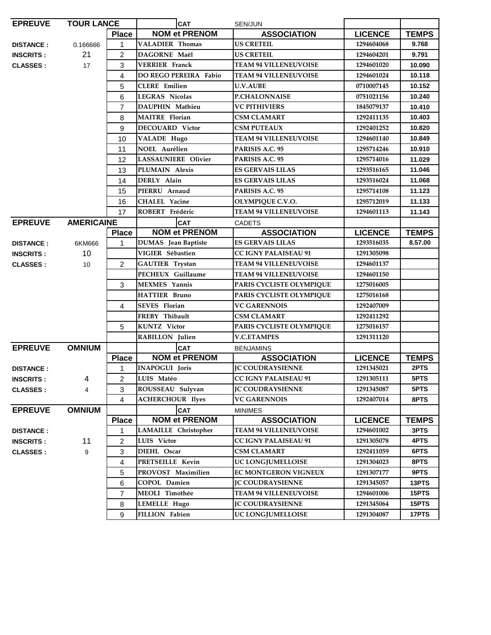| <b>EPREUVE</b><br><b>TOUR LANCE</b> |                   | <b>CAT</b><br>SEN/JUN |                              |                                        |                |              |
|-------------------------------------|-------------------|-----------------------|------------------------------|----------------------------------------|----------------|--------------|
|                                     |                   | <b>Place</b>          | <b>NOM et PRENOM</b>         | <b>ASSOCIATION</b>                     | <b>LICENCE</b> | <b>TEMPS</b> |
| <b>DISTANCE:</b>                    | 0.166666          | 1                     | <b>VALADIER Thomas</b>       | <b>US CRETEIL</b>                      | 1294604068     | 9.768        |
| <b>INSCRITS:</b>                    | 21                | $\overline{c}$        | <b>DAGORNE Maël</b>          | <b>US CRETEIL</b>                      | 1294604201     | 9.791        |
| <b>CLASSES:</b>                     | 17                | 3                     | <b>VERRIER Franck</b>        | <b>TEAM 94 VILLENEUVOISE</b>           | 1294601020     | 10.090       |
|                                     |                   | 4                     | <b>DO REGO PEREIRA Fabio</b> | <b>TEAM 94 VILLENEUVOISE</b>           | 1294601024     | 10.118       |
|                                     |                   | 5                     | <b>CLERE</b> Emilien         | <b>U.V.AUBE</b>                        | 0710007145     | 10.152       |
|                                     |                   | 6                     | <b>LEGRAS Nicolas</b>        | <b>P.CHALONNAISE</b>                   | 0751021156     | 10.240       |
|                                     |                   | $\overline{7}$        | DAUPHIN Mathieu              | <b>VC PITHIVIERS</b>                   | 1845079137     | 10.410       |
|                                     |                   | 8                     | <b>MAITRE</b> Florian        | CSM CLAMART                            | 1292411135     | 10.403       |
|                                     |                   | 9                     | <b>DECOUARD Victor</b>       | <b>CSM PUTEAUX</b>                     | 1292401252     | 10.820       |
|                                     |                   | 10                    | <b>VALADE Hugo</b>           | <b>TEAM 94 VILLENEUVOISE</b>           | 1294601140     | 10.849       |
|                                     |                   | 11                    | <b>NOEL Aurélien</b>         | PARISIS A.C. 95                        | 1295714246     | 10.910       |
|                                     |                   | 12                    | <b>LASSAUNIERE Olivier</b>   | PARISIS A.C. 95                        | 1295714016     | 11.029       |
|                                     |                   | 13                    | PLUMAIN Alexis               | ES GERVAIS LILAS                       | 1293516165     | 11.046       |
|                                     |                   | 14                    | DERLY Alain                  | <b>ES GERVAIS LILAS</b>                | 1293516024     | 11.068       |
|                                     |                   | 15                    | PIERRU Arnaud                | PARISIS A.C. 95                        | 1295714108     | 11.123       |
|                                     |                   | 16                    | <b>CHALEL Yacine</b>         | OLYMPIQUE C.V.O.                       | 1295712019     | 11.133       |
|                                     |                   | 17                    | ROBERT Frédéric              | <b>TEAM 94 VILLENEUVOISE</b>           | 1294601113     | 11.143       |
| <b>EPREUVE</b>                      | <b>AMERICAINE</b> |                       | <b>CAT</b>                   |                                        |                |              |
|                                     |                   | <b>Place</b>          | <b>NOM et PRENOM</b>         | <b>CADETS</b><br><b>ASSOCIATION</b>    | <b>LICENCE</b> | <b>TEMPS</b> |
| <b>DISTANCE:</b>                    | 6KM666            | 1                     | DUMAS Jean Baptiste          | <b>ES GERVAIS LILAS</b>                | 1293516035     | 8.57.00      |
| <b>INSCRITS:</b>                    | 10                |                       | VIGIER Sébastien             | <b>CC IGNY PALAISEAU 91</b>            | 1291305098     |              |
| <b>CLASSES:</b>                     | 10                | $\overline{2}$        | <b>GAUTIER Trystan</b>       | <b>TEAM 94 VILLENEUVOISE</b>           | 1294601137     |              |
|                                     |                   |                       | PECHEUX Guillaume            | <b>TEAM 94 VILLENEUVOISE</b>           | 1294601150     |              |
|                                     |                   | 3                     | <b>MEXMES</b> Yannis         | PARIS CYCLISTE OLYMPIQUE               | 1275016005     |              |
|                                     |                   |                       | <b>HATTIER Bruno</b>         | PARIS CYCLISTE OLYMPIQUE               | 1275016168     |              |
|                                     |                   | 4                     | <b>SEVES</b> Florian         | <b>VC GARENNOIS</b>                    | 1292407009     |              |
|                                     |                   |                       | FREBY Thibault               | <b>CSM CLAMART</b>                     | 1292411292     |              |
|                                     |                   | 5                     | <b>KUNTZ</b> Victor          | PARIS CYCLISTE OLYMPIQUE               | 1275016157     |              |
|                                     |                   |                       | RABILLON Julien              | <b>V.C.ETAMPES</b>                     | 1291311120     |              |
| <b>EPREUVE</b>                      | <b>OMNIUM</b>     |                       | <b>CAT</b>                   |                                        |                |              |
|                                     |                   |                       | <b>NOM et PRENOM</b>         | <b>BENJAMINS</b><br><b>ASSOCIATION</b> | <b>LICENCE</b> | <b>TEMPS</b> |
|                                     |                   | <b>Place</b>          | <b>INAPOGUI Joris</b>        | <b>JC COUDRAYSIENNE</b>                | 1291345021     | 2PTS         |
| <b>DISTANCE:</b>                    |                   | 1<br>$\overline{2}$   | LUIS Matéo                   | <b>CC IGNY PALAISEAU 91</b>            | 1291305111     | 5PTS         |
| <b>INSCRITS:</b>                    | 4                 |                       |                              |                                        |                |              |
| <b>CLASSES</b> :                    | 4                 | 3                     | ROUSSEAU Sulyvan             | <b>JC COUDRAYSIENNE</b>                | 1291345087     | 5PTS         |
|                                     |                   | 4                     | <b>ACHERCHOUR Ilyes</b>      | <b>VC GARENNOIS</b>                    | 1292407014     | 8PTS         |
| <b>EPREUVE</b>                      | <b>OMNIUM</b>     |                       | <b>CAT</b>                   | <b>MINIMES</b>                         |                |              |
|                                     |                   | <b>Place</b>          | <b>NOM et PRENOM</b>         | <b>ASSOCIATION</b>                     | <b>LICENCE</b> | <b>TEMPS</b> |
| <b>DISTANCE:</b>                    |                   | 1                     | LAMAILLE Christopher         | <b>TEAM 94 VILLENEUVOISE</b>           | 1294601002     | 3PTS         |
| <b>INSCRITS:</b>                    | 11                | 2                     | LUIS Victor                  | <b>CC IGNY PALAISEAU 91</b>            | 1291305078     | 4PTS         |
| <b>CLASSES:</b>                     | 9                 | 3                     | DIEHL Oscar                  | <b>CSM CLAMART</b>                     | 1292411059     | 6PTS         |
|                                     |                   | 4                     | PRETSEILLE Kevin             | UC LONGJUMELLOISE                      | 1291304023     | 8PTS         |
|                                     |                   | 5                     | PROVOST Maximilien           | EC MONTGERON VIGNEUX                   | 1291307177     | 9PTS         |
|                                     |                   | 6                     | COPOL Damien                 | <b>JC COUDRAYSIENNE</b>                | 1291345057     | 13PTS        |
|                                     |                   | 7                     | MEOLI Timothée               | <b>TEAM 94 VILLENEUVOISE</b>           | 1294601006     | 15PTS        |
|                                     |                   | 8                     | <b>LEMELLE Hugo</b>          | <b>JC COUDRAYSIENNE</b>                | 1291345064     | 15PTS        |
|                                     |                   | 9                     | FILLION Fabien               | UC LONGJUMELLOISE                      | 1291304087     | 17PTS        |